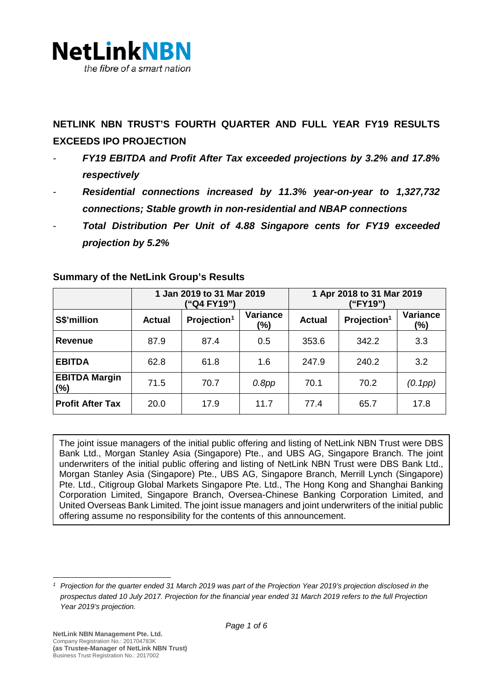

**NETLINK NBN TRUST'S FOURTH QUARTER AND FULL YEAR FY19 RESULTS EXCEEDS IPO PROJECTION**

- *FY19 EBITDA and Profit After Tax exceeded projections by 3.2% and 17.8% respectively*
- *Residential connections increased by 11.3% year-on-year to 1,327,732 connections; Stable growth in non-residential and NBAP connections*
- *Total Distribution Per Unit of 4.88 Singapore cents for FY19 exceeded projection by 5.2%*

|                                | 1 Jan 2019 to 31 Mar 2019<br>("Q4 FY19") |                         |                        | 1 Apr 2018 to 31 Mar 2019<br>("FY19") |                         |                        |
|--------------------------------|------------------------------------------|-------------------------|------------------------|---------------------------------------|-------------------------|------------------------|
| S\$'million                    | <b>Actual</b>                            | Projection <sup>1</sup> | <b>Variance</b><br>(%) | <b>Actual</b>                         | Projection <sup>1</sup> | <b>Variance</b><br>(%) |
| <b>Revenue</b>                 | 87.9                                     | 87.4                    | 0.5                    | 353.6                                 | 342.2                   | 3.3                    |
| <b>EBITDA</b>                  | 62.8                                     | 61.8                    | 1.6                    | 247.9                                 | 240.2                   | 3.2                    |
| <b>EBITDA Margin</b><br>$(\%)$ | 71.5                                     | 70.7                    | $0.8$ pp               | 70.1                                  | 70.2                    | (0.1pp)                |
| <b>Profit After Tax</b>        | 20.0                                     | 17.9                    | 11.7                   | 77.4                                  | 65.7                    | 17.8                   |

## **Summary of the NetLink Group's Results**

The joint issue managers of the initial public offering and listing of NetLink NBN Trust were DBS Bank Ltd., Morgan Stanley Asia (Singapore) Pte., and UBS AG, Singapore Branch. The joint underwriters of the initial public offering and listing of NetLink NBN Trust were DBS Bank Ltd., Morgan Stanley Asia (Singapore) Pte., UBS AG, Singapore Branch, Merrill Lynch (Singapore) Pte. Ltd., Citigroup Global Markets Singapore Pte. Ltd., The Hong Kong and Shanghai Banking Corporation Limited, Singapore Branch, Oversea-Chinese Banking Corporation Limited, and United Overseas Bank Limited. The joint issue managers and joint underwriters of the initial public offering assume no responsibility for the contents of this announcement.

<span id="page-0-0"></span>*<sup>1</sup> Projection for the quarter ended 31 March 2019 was part of the Projection Year 2019's projection disclosed in the prospectus dated 10 July 2017. Projection for the financial year ended 31 March 2019 refers to the full Projection Year 2019's projection.*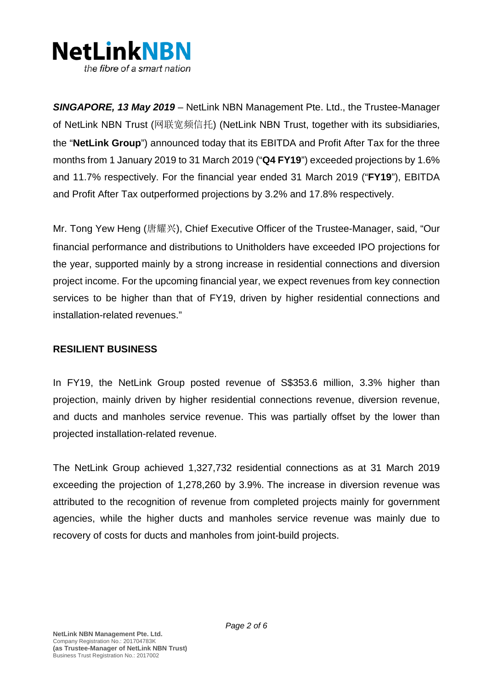

*SINGAPORE, 13 May 2019 –* NetLink NBN Management Pte. Ltd., the Trustee-Manager of NetLink NBN Trust (网联宽频信托) (NetLink NBN Trust, together with its subsidiaries, the "**NetLink Group**") announced today that its EBITDA and Profit After Tax for the three months from 1 January 2019 to 31 March 2019 ("**Q4 FY19**") exceeded projections by 1.6% and 11.7% respectively. For the financial year ended 31 March 2019 ("**FY19**"), EBITDA and Profit After Tax outperformed projections by 3.2% and 17.8% respectively.

Mr. Tong Yew Heng (唐耀兴), Chief Executive Officer of the Trustee-Manager, said, "Our financial performance and distributions to Unitholders have exceeded IPO projections for the year, supported mainly by a strong increase in residential connections and diversion project income. For the upcoming financial year, we expect revenues from key connection services to be higher than that of FY19, driven by higher residential connections and installation-related revenues."

## **RESILIENT BUSINESS**

In FY19, the NetLink Group posted revenue of S\$353.6 million, 3.3% higher than projection, mainly driven by higher residential connections revenue, diversion revenue, and ducts and manholes service revenue. This was partially offset by the lower than projected installation-related revenue.

The NetLink Group achieved 1,327,732 residential connections as at 31 March 2019 exceeding the projection of 1,278,260 by 3.9%. The increase in diversion revenue was attributed to the recognition of revenue from completed projects mainly for government agencies, while the higher ducts and manholes service revenue was mainly due to recovery of costs for ducts and manholes from joint-build projects.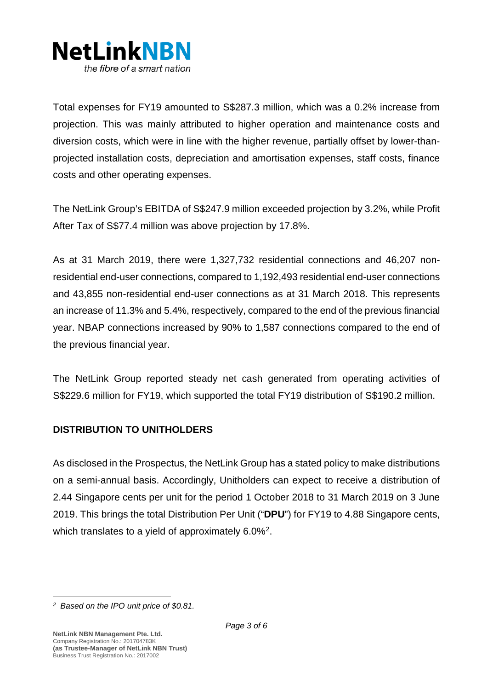

Total expenses for FY19 amounted to S\$287.3 million, which was a 0.2% increase from projection. This was mainly attributed to higher operation and maintenance costs and diversion costs, which were in line with the higher revenue, partially offset by lower-thanprojected installation costs, depreciation and amortisation expenses, staff costs, finance costs and other operating expenses.

The NetLink Group's EBITDA of S\$247.9 million exceeded projection by 3.2%, while Profit After Tax of S\$77.4 million was above projection by 17.8%.

As at 31 March 2019, there were 1,327,732 residential connections and 46,207 nonresidential end-user connections, compared to 1,192,493 residential end-user connections and 43,855 non-residential end-user connections as at 31 March 2018. This represents an increase of 11.3% and 5.4%, respectively, compared to the end of the previous financial year. NBAP connections increased by 90% to 1,587 connections compared to the end of the previous financial year.

The NetLink Group reported steady net cash generated from operating activities of S\$229.6 million for FY19, which supported the total FY19 distribution of S\$190.2 million.

## **DISTRIBUTION TO UNITHOLDERS**

As disclosed in the Prospectus, the NetLink Group has a stated policy to make distributions on a semi-annual basis. Accordingly, Unitholders can expect to receive a distribution of 2.44 Singapore cents per unit for the period 1 October 2018 to 31 March 2019 on 3 June 2019. This brings the total Distribution Per Unit ("**DPU**") for FY19 to 4.88 Singapore cents, which translates to a yield of approximately 6.0%<sup>[2](#page-2-0)</sup>.

<span id="page-2-0"></span>*<sup>2</sup> Based on the IPO unit price of \$0.81.*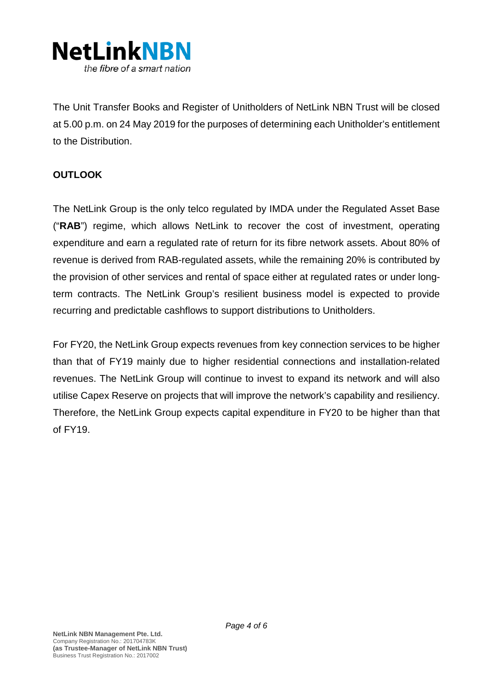

The Unit Transfer Books and Register of Unitholders of NetLink NBN Trust will be closed at 5.00 p.m. on 24 May 2019 for the purposes of determining each Unitholder's entitlement to the Distribution.

# **OUTLOOK**

The NetLink Group is the only telco regulated by IMDA under the Regulated Asset Base ("**RAB**") regime, which allows NetLink to recover the cost of investment, operating expenditure and earn a regulated rate of return for its fibre network assets. About 80% of revenue is derived from RAB-regulated assets, while the remaining 20% is contributed by the provision of other services and rental of space either at regulated rates or under longterm contracts. The NetLink Group's resilient business model is expected to provide recurring and predictable cashflows to support distributions to Unitholders.

For FY20, the NetLink Group expects revenues from key connection services to be higher than that of FY19 mainly due to higher residential connections and installation-related revenues. The NetLink Group will continue to invest to expand its network and will also utilise Capex Reserve on projects that will improve the network's capability and resiliency. Therefore, the NetLink Group expects capital expenditure in FY20 to be higher than that of FY19.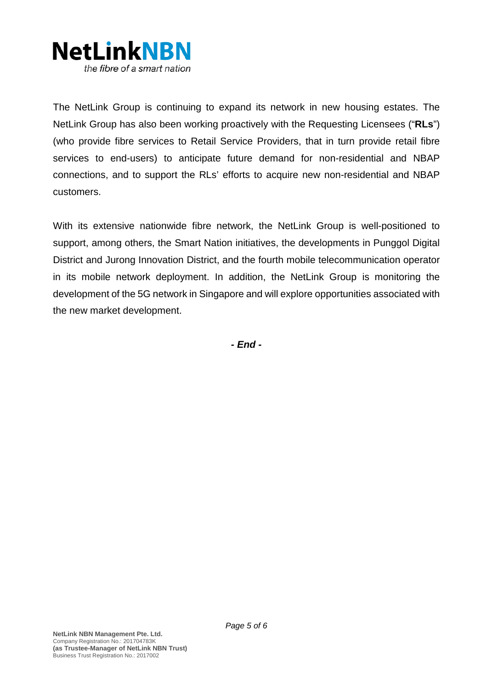

The NetLink Group is continuing to expand its network in new housing estates. The NetLink Group has also been working proactively with the Requesting Licensees ("**RLs**") (who provide fibre services to Retail Service Providers, that in turn provide retail fibre services to end-users) to anticipate future demand for non-residential and NBAP connections, and to support the RLs' efforts to acquire new non-residential and NBAP customers.

With its extensive nationwide fibre network, the NetLink Group is well-positioned to support, among others, the Smart Nation initiatives, the developments in Punggol Digital District and Jurong Innovation District, and the fourth mobile telecommunication operator in its mobile network deployment. In addition, the NetLink Group is monitoring the development of the 5G network in Singapore and will explore opportunities associated with the new market development.

*- End -*